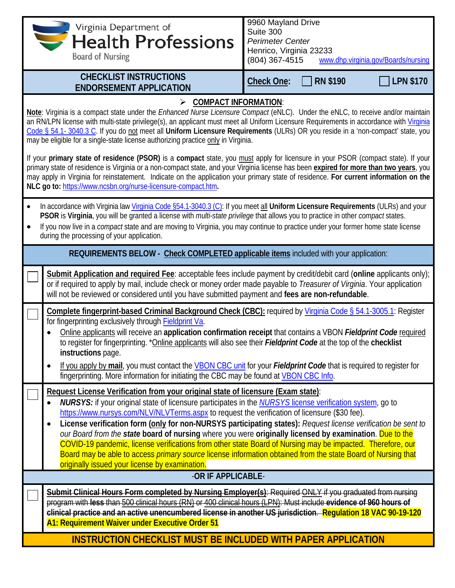| Virginia Departments.<br><b>Board of Nursing</b>                                                                                                                                                                                                                                                                                                                                                                                                                                                                                                                                                                                                                                                                                                                                                                                                                                                                                                                                                                                 | 9960 Mayland Drive<br>Suite 300<br><b>Perimeter Center</b><br>Henrico, Virginia 23233<br>(804) 367-4515<br>www.dhp.virginia.gov/Boards/nursing |  |
|----------------------------------------------------------------------------------------------------------------------------------------------------------------------------------------------------------------------------------------------------------------------------------------------------------------------------------------------------------------------------------------------------------------------------------------------------------------------------------------------------------------------------------------------------------------------------------------------------------------------------------------------------------------------------------------------------------------------------------------------------------------------------------------------------------------------------------------------------------------------------------------------------------------------------------------------------------------------------------------------------------------------------------|------------------------------------------------------------------------------------------------------------------------------------------------|--|
| <b>CHECKLIST INSTRUCTIONS</b><br><b>ENDORSEMENT APPLICATION</b>                                                                                                                                                                                                                                                                                                                                                                                                                                                                                                                                                                                                                                                                                                                                                                                                                                                                                                                                                                  | <b>LPN \$170</b><br><b>RN \$190</b><br><b>Check One:</b>                                                                                       |  |
| $\triangleright$ COMPACT INFORMATION:<br>Note: Virginia is a compact state under the Enhanced Nurse Licensure Compact (eNLC). Under the eNLC, to receive and/or maintain<br>an RN/LPN license with multi-state privilege(s), an applicant must meet all Uniform Licensure Requirements in accordance with Virginia<br>Code § 54.1-3040.3 C. If you do not meet all Uniform Licensure Requirements (ULRs) OR you reside in a 'non-compact' state, you<br>may be eligible for a single-state license authorizing practice only in Virginia.<br>If your primary state of residence (PSOR) is a compact state, you must apply for licensure in your PSOR (compact state). If your<br>primary state of residence is Virginia or a non-compact state, and your Virginia license has been expired for more than two years, you<br>may apply in Virginia for reinstatement. Indicate on the application your primary state of residence. For current information on the<br>NLC go to: https://www.ncsbn.org/nurse-licensure-compact.htm. |                                                                                                                                                |  |
| In accordance with Virginia law Virginia Code §54.1-3040.3 (C): If you meet all Uniform Licensure Requirements (ULRs) and your<br>PSOR is Virginia, you will be granted a license with multi-state privilege that allows you to practice in other compact states.<br>If you now live in a compact state and are moving to Virginia, you may continue to practice under your former home state license<br>during the processing of your application.                                                                                                                                                                                                                                                                                                                                                                                                                                                                                                                                                                              |                                                                                                                                                |  |
| REQUIREMENTS BELOW - Check COMPLETED applicable items included with your application:                                                                                                                                                                                                                                                                                                                                                                                                                                                                                                                                                                                                                                                                                                                                                                                                                                                                                                                                            |                                                                                                                                                |  |
| Submit Application and required Fee: acceptable fees include payment by credit/debit card (online applicants only);<br>or if required to apply by mail, include check or money order made payable to Treasurer of Virginia. Your application<br>will not be reviewed or considered until you have submitted payment and fees are non-refundable.                                                                                                                                                                                                                                                                                                                                                                                                                                                                                                                                                                                                                                                                                 |                                                                                                                                                |  |
| Complete fingerprint-based Criminal Background Check (CBC): required by Virginia Code § 54.1-3005.1: Register<br>for fingerprinting exclusively through <b>Fieldprint Va.</b><br>to register for fingerprinting. *Online applicants will also see their Fieldprint Code at the top of the checklist<br>instructions page.<br>If you apply by mail, you must contact the VBON CBC unit for your Fieldprint Code that is required to register for<br>fingerprinting. More information for initiating the CBC may be found at VBON CBC Info.                                                                                                                                                                                                                                                                                                                                                                                                                                                                                        | Online applicants will receive an application confirmation receipt that contains a VBON Fieldprint Code required                               |  |
| Request License Verification from your original state of licensure (Exam state):<br><b>NURSYS:</b> if your original state of licensure participates in the <b>NURSYS</b> license verification system, go to<br>https://www.nursys.com/NLV/NLVTerms.aspx to request the verification of licensure (\$30 fee).<br>our Board from the state board of nursing where you were originally licensed by examination. Due to the<br>COVID-19 pandemic, license verifications from other state Board of Nursing may be impacted. Therefore, our<br>Board may be able to access primary source license information obtained from the state Board of Nursing that<br>originally issued your license by examination.                                                                                                                                                                                                                                                                                                                          | License verification form (only for non-NURSYS participating states): Request license verification be sent to                                  |  |
| -OR IF APPLICABLE-                                                                                                                                                                                                                                                                                                                                                                                                                                                                                                                                                                                                                                                                                                                                                                                                                                                                                                                                                                                                               |                                                                                                                                                |  |
| Submit Clinical Hours Form completed by Nursing Employer(s): Required ONLY if you graduated from nursing<br>program with less than 500 clinical hours (RN) or 400 clinical hours (LPN): Must include evidence of 960 hours of<br>clinical practice and an active unencumbered license in another US jurisdiction. Regulation 18 VAC 90-19-120<br>A1: Requirement Waiver under Executive Order 51                                                                                                                                                                                                                                                                                                                                                                                                                                                                                                                                                                                                                                 |                                                                                                                                                |  |
| <b>INSTRUCTION CHECKLIST MUST BE INCLUDED WITH PAPER APPLICATION</b>                                                                                                                                                                                                                                                                                                                                                                                                                                                                                                                                                                                                                                                                                                                                                                                                                                                                                                                                                             |                                                                                                                                                |  |